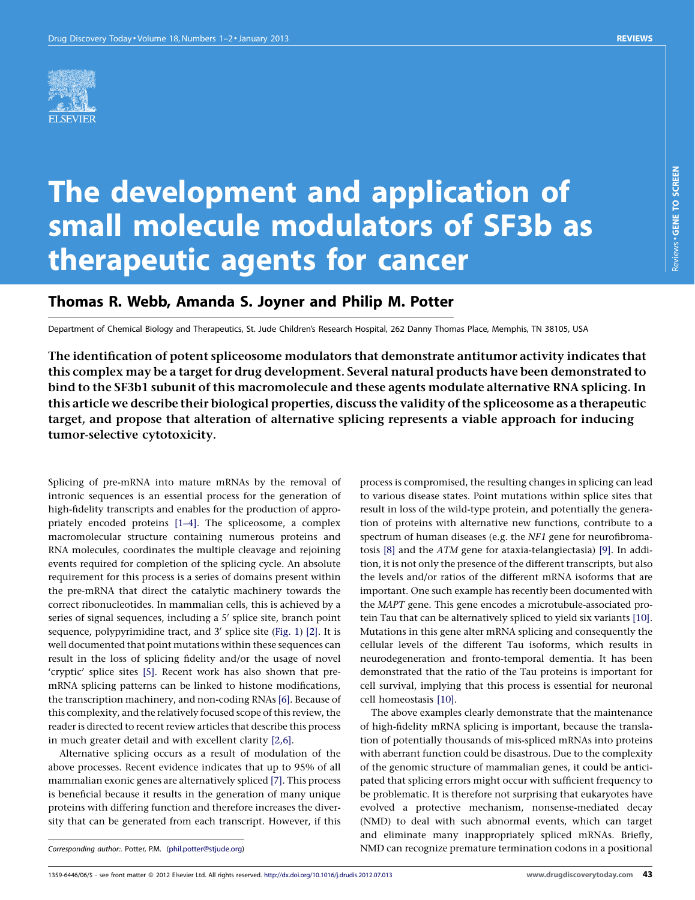

# The development and application of small molecule modulators of SF3b as therapeutic agents for cancer

# Thomas R. Webb, Amanda S. Joyner and Philip M. Potter

Department of Chemical Biology and Therapeutics, St. Jude Children's Research Hospital, 262 Danny Thomas Place, Memphis, TN 38105, USA

The identification of potent spliceosome modulators that demonstrate antitumor activity indicates that this complex may be a target for drug development. Several natural products have been demonstrated to bind to the SF3b1 subunit of this macromolecule and these agents modulate alternative RNA splicing. In this article we describe their biological properties, discuss the validity of the spliceosome as a therapeutic target, and propose that alteration of alternative splicing represents a viable approach for inducing tumor-selective cytotoxicity.

Splicing of pre-mRNA into mature mRNAs by the removal of intronic sequences is an essential process for the generation of high-fidelity transcripts and enables for the production of appropriately encoded proteins [\[1–4\].](#page-5-0) The spliceosome, a complex macromolecular structure containing numerous proteins and RNA molecules, coordinates the multiple cleavage and rejoining events required for completion of the splicing cycle. An absolute requirement for this process is a series of domains present within the pre-mRNA that direct the catalytic machinery towards the correct ribonucleotides. In mammalian cells, this is achieved by a series of signal sequences, including a 5' splice site, branch point sequence, polypyrimidine tract, and  $3'$  splice site ([Fig.](#page-1-0) 1) [\[2\]](#page-5-0). It is well documented that point mutations within these sequences can result in the loss of splicing fidelity and/or the usage of novel 'cryptic' splice sites [\[5\]](#page-5-0). Recent work has also shown that premRNA splicing patterns can be linked to histone modifications, the transcription machinery, and non-coding RNAs [\[6\].](#page-5-0) Because of this complexity, and the relatively focused scope of this review, the reader is directed to recent review articles that describe this process in much greater detail and with excellent clarity [\[2,6\].](#page-5-0)

Alternative splicing occurs as a result of modulation of the above processes. Recent evidence indicates that up to 95% of all mammalian exonic genes are alternatively spliced [\[7\].](#page-5-0) This process is beneficial because it results in the generation of many unique proteins with differing function and therefore increases the diversity that can be generated from each transcript. However, if this

process is compromised, the resulting changes in splicing can lead to various disease states. Point mutations within splice sites that result in loss of the wild-type protein, and potentially the generation of proteins with alternative new functions, contribute to a spectrum of human diseases (e.g. the NF1 gene for neurofibromatosis [\[8\]](#page-5-0) and the ATM gene for ataxia-telangiectasia) [\[9\].](#page-5-0) In addition, it is not only the presence of the different transcripts, but also the levels and/or ratios of the different mRNA isoforms that are important. One such example has recently been documented with the MAPT gene. This gene encodes a microtubule-associated protein Tau that can be alternatively spliced to yield six variants [\[10\].](#page-5-0) Mutations in this gene alter mRNA splicing and consequently the cellular levels of the different Tau isoforms, which results in neurodegeneration and fronto-temporal dementia. It has been demonstrated that the ratio of the Tau proteins is important for cell survival, implying that this process is essential for neuronal cell homeostasis [\[10\]](#page-5-0).

The above examples clearly demonstrate that the maintenance of high-fidelity mRNA splicing is important, because the translation of potentially thousands of mis-spliced mRNAs into proteins with aberrant function could be disastrous. Due to the complexity of the genomic structure of mammalian genes, it could be anticipated that splicing errors might occur with sufficient frequency to be problematic. It is therefore not surprising that eukaryotes have evolved a protective mechanism, nonsense-mediated decay (NMD) to deal with such abnormal events, which can target and eliminate many inappropriately spliced mRNAs. Briefly, NMD can recognize premature termination codons in a positional

Corresponding author:. Potter, P.M. ([phil.potter@stjude.org](mailto:phil.potter@stjude.org))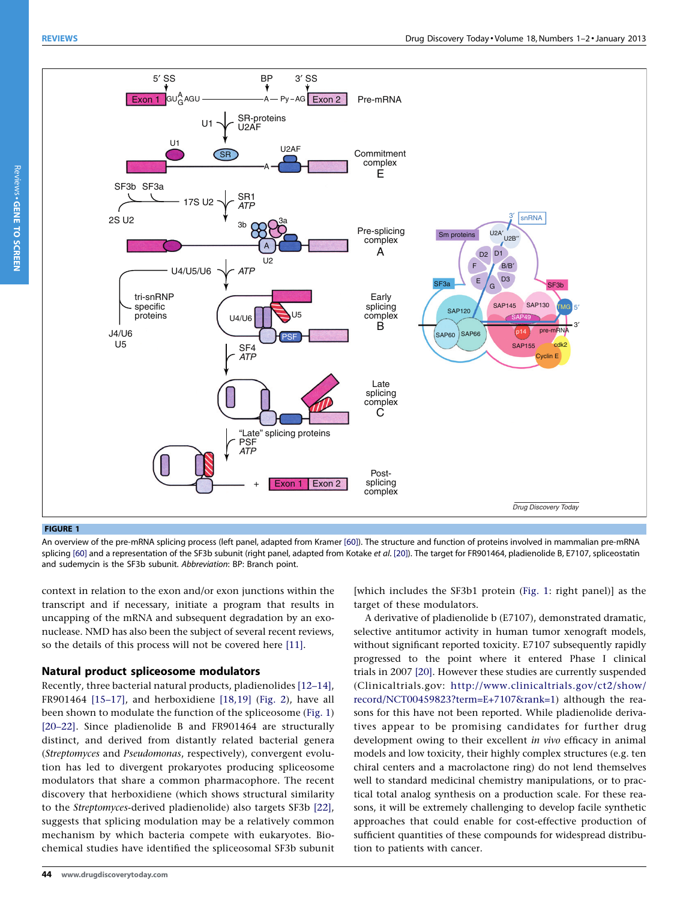Reviews -GENE

TO SCREEN

<span id="page-1-0"></span>

FIGURE 1

An overview of the pre-mRNA splicing process (left panel, adapted from Kramer [\[60\]\)](#page-6-0). The structure and function of proteins involved in mammalian pre-mRNA splicing [\[60\]](#page-6-0) and a representation of the SF3b subunit (right panel, adapted from Kotake et al. [\[20\]\)](#page-6-0). The target for FR901464, pladienolide B, E7107, spliceostatin and sudemycin is the SF3b subunit. Abbreviation: BP: Branch point.

context in relation to the exon and/or exon junctions within the transcript and if necessary, initiate a program that results in uncapping of the mRNA and subsequent degradation by an exonuclease. NMD has also been the subject of several recent reviews, so the details of this process will not be covered here [\[11\]](#page-5-0).

## Natural product spliceosome modulators

Recently, three bacterial natural products, pladienolides [\[12–14\]](#page-6-0), FR901464 [\[15–17\]](#page-6-0), and herboxidiene [\[18,19\]](#page-6-0) ([Fig.](#page-2-0) 2), have all been shown to modulate the function of the spliceosome (Fig. 1) [\[20–22\].](#page-6-0) Since pladienolide B and FR901464 are structurally distinct, and derived from distantly related bacterial genera (Streptomyces and Pseudomonas, respectively), convergent evolution has led to divergent prokaryotes producing spliceosome modulators that share a common pharmacophore. The recent discovery that herboxidiene (which shows structural similarity to the Streptomyces-derived pladienolide) also targets SF3b [\[22\]](#page-6-0), suggests that splicing modulation may be a relatively common mechanism by which bacteria compete with eukaryotes. Biochemical studies have identified the spliceosomal SF3b subunit

[which includes the SF3b1 protein (Fig. 1: right panel)] as the target of these modulators.

A derivative of pladienolide b (E7107), demonstrated dramatic, selective antitumor activity in human tumor xenograft models, without significant reported toxicity. E7107 subsequently rapidly progressed to the point where it entered Phase I clinical trials in 2007 [\[20\]](#page-6-0). However these studies are currently suspended (Clinicaltrials.gov: [http://www.clinicaltrials.gov/ct2/show/](http://www.clinicaltrials.gov/ct2/show/record/NCT00459823%3Fterm=E+7107%26rank=1) [record/NCT00459823?term=E+7107&rank=1\)](http://www.clinicaltrials.gov/ct2/show/record/NCT00459823%3Fterm=E+7107%26rank=1) although the reasons for this have not been reported. While pladienolide derivatives appear to be promising candidates for further drug development owing to their excellent in vivo efficacy in animal models and low toxicity, their highly complex structures (e.g. ten chiral centers and a macrolactone ring) do not lend themselves well to standard medicinal chemistry manipulations, or to practical total analog synthesis on a production scale. For these reasons, it will be extremely challenging to develop facile synthetic approaches that could enable for cost-effective production of sufficient quantities of these compounds for widespread distribution to patients with cancer.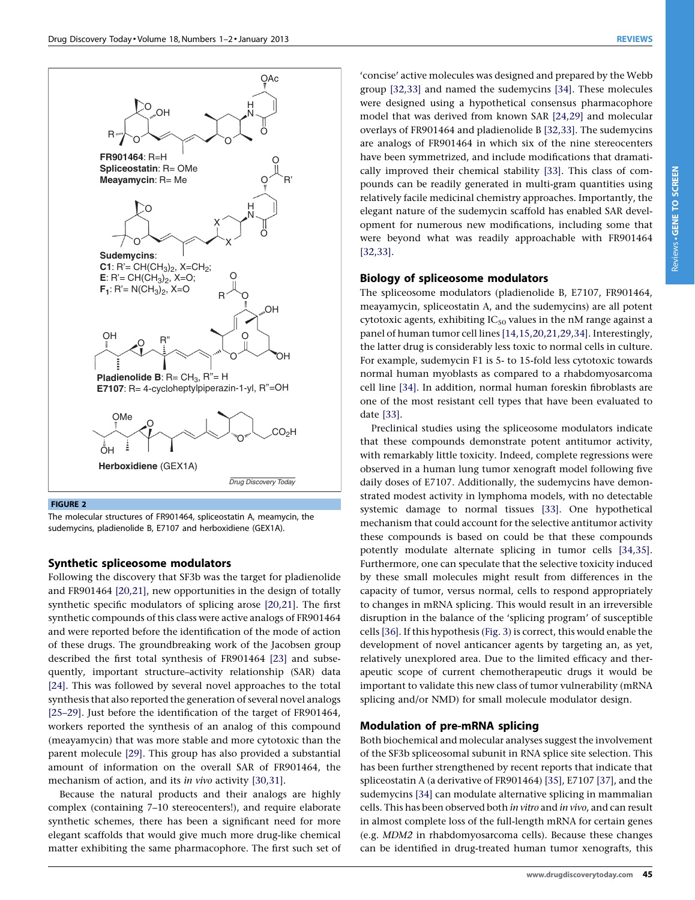Reviews -

Reviews . GENE TO SCREEN GENE TO SCREEN

<span id="page-2-0"></span>

#### FIGURE 2

The molecular structures of FR901464, spliceostatin A, meamycin, the sudemycins, pladienolide B, E7107 and herboxidiene (GEX1A).

### Synthetic spliceosome modulators

Following the discovery that SF3b was the target for pladienolide and FR901464 [\[20,21\]](#page-6-0), new opportunities in the design of totally synthetic specific modulators of splicing arose [\[20,21\].](#page-6-0) The first synthetic compounds of this class were active analogs of FR901464 and were reported before the identification of the mode of action of these drugs. The groundbreaking work of the Jacobsen group described the first total synthesis of FR901464 [\[23\]](#page-6-0) and subsequently, important structure–activity relationship (SAR) data [\[24\].](#page-6-0) This was followed by several novel approaches to the total synthesis that also reported the generation of several novel analogs [\[25–29\].](#page-6-0) Just before the identification of the target of FR901464, workers reported the synthesis of an analog of this compound (meayamycin) that was more stable and more cytotoxic than the parent molecule [\[29\].](#page-6-0) This group has also provided a substantial amount of information on the overall SAR of FR901464, the mechanism of action, and its in vivo activity [\[30,31\].](#page-6-0)

Because the natural products and their analogs are highly complex (containing 7–10 stereocenters!), and require elaborate synthetic schemes, there has been a significant need for more elegant scaffolds that would give much more drug-like chemical matter exhibiting the same pharmacophore. The first such set of

'concise' active molecules was designed and prepared by the Webb group [\[32,33\]](#page-6-0) and named the sudemycins [\[34\]](#page-6-0). These molecules were designed using a hypothetical consensus pharmacophore model that was derived from known SAR [\[24,29\]](#page-6-0) and molecular overlays of FR901464 and pladienolide B [\[32,33\]](#page-6-0). The sudemycins are analogs of FR901464 in which six of the nine stereocenters have been symmetrized, and include modifications that dramatically improved their chemical stability [\[33\].](#page-6-0) This class of compounds can be readily generated in multi-gram quantities using relatively facile medicinal chemistry approaches. Importantly, the elegant nature of the sudemycin scaffold has enabled SAR development for numerous new modifications, including some that were beyond what was readily approachable with FR901464 [\[32,33\]](#page-6-0).

#### Biology of spliceosome modulators

The spliceosome modulators (pladienolide B, E7107, FR901464, meayamycin, spliceostatin A, and the sudemycins) are all potent cytotoxic agents, exhibiting  $IC_{50}$  values in the nM range against a panel of human tumor cell lines [\[14,15,20,21,29,34\].](#page-6-0) Interestingly, the latter drug is considerably less toxic to normal cells in culture. For example, sudemycin F1 is 5- to 15-fold less cytotoxic towards normal human myoblasts as compared to a rhabdomyosarcoma cell line [\[34\]](#page-6-0). In addition, normal human foreskin fibroblasts are one of the most resistant cell types that have been evaluated to date [\[33\].](#page-6-0)

Preclinical studies using the spliceosome modulators indicate that these compounds demonstrate potent antitumor activity, with remarkably little toxicity. Indeed, complete regressions were observed in a human lung tumor xenograft model following five daily doses of E7107. Additionally, the sudemycins have demonstrated modest activity in lymphoma models, with no detectable systemic damage to normal tissues [\[33\].](#page-6-0) One hypothetical mechanism that could account for the selective antitumor activity these compounds is based on could be that these compounds potently modulate alternate splicing in tumor cells [\[34,35\].](#page-6-0) Furthermore, one can speculate that the selective toxicity induced by these small molecules might result from differences in the capacity of tumor, versus normal, cells to respond appropriately to changes in mRNA splicing. This would result in an irreversible disruption in the balance of the 'splicing program' of susceptible cells [\[36\].](#page-6-0) If this hypothesis [\(Fig.](#page-3-0) 3) is correct, this would enable the development of novel anticancer agents by targeting an, as yet, relatively unexplored area. Due to the limited efficacy and therapeutic scope of current chemotherapeutic drugs it would be important to validate this new class of tumor vulnerability (mRNA splicing and/or NMD) for small molecule modulator design.

#### Modulation of pre-mRNA splicing

Both biochemical and molecular analyses suggest the involvement of the SF3b spliceosomal subunit in RNA splice site selection. This has been further strengthened by recent reports that indicate that spliceostatin A (a derivative of FR901464) [\[35\]](#page-6-0), E7107 [\[37\]](#page-6-0), and the sudemycins [\[34\]](#page-6-0) can modulate alternative splicing in mammalian cells. This has been observed both in vitro and in vivo, and can result in almost complete loss of the full-length mRNA for certain genes (e.g. MDM2 in rhabdomyosarcoma cells). Because these changes can be identified in drug-treated human tumor xenografts, this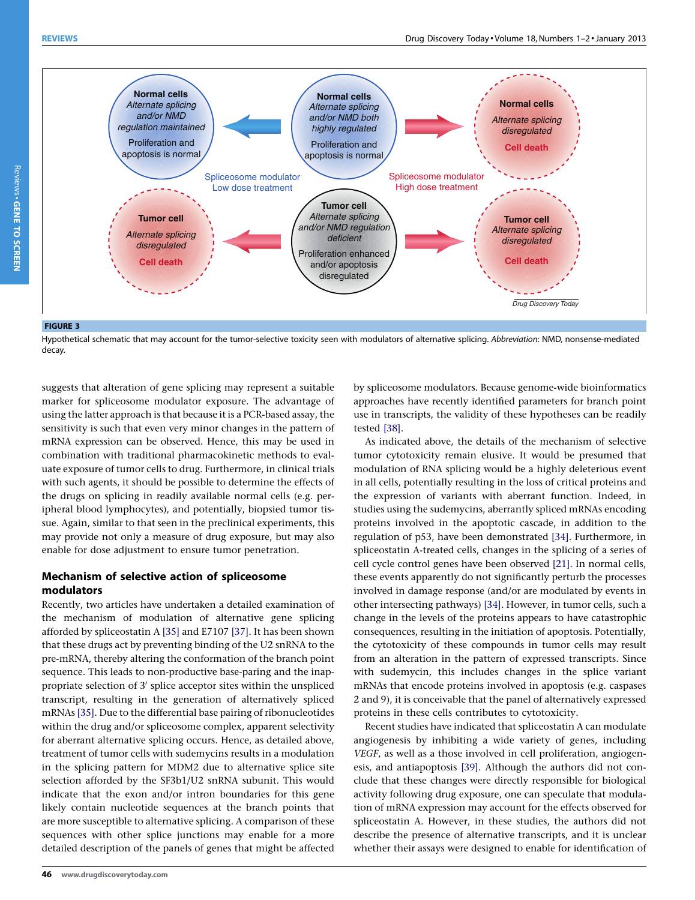<span id="page-3-0"></span>

#### FIGURE 3

Hypothetical schematic that may account for the tumor-selective toxicity seen with modulators of alternative splicing. Abbreviation: NMD, nonsense-mediated decay.

suggests that alteration of gene splicing may represent a suitable marker for spliceosome modulator exposure. The advantage of using the latter approach is that because it is a PCR-based assay, the sensitivity is such that even very minor changes in the pattern of mRNA expression can be observed. Hence, this may be used in combination with traditional pharmacokinetic methods to evaluate exposure of tumor cells to drug. Furthermore, in clinical trials with such agents, it should be possible to determine the effects of the drugs on splicing in readily available normal cells (e.g. peripheral blood lymphocytes), and potentially, biopsied tumor tissue. Again, similar to that seen in the preclinical experiments, this may provide not only a measure of drug exposure, but may also enable for dose adjustment to ensure tumor penetration.

# Mechanism of selective action of spliceosome modulators

Recently, two articles have undertaken a detailed examination of the mechanism of modulation of alternative gene splicing afforded by spliceostatin A [\[35\]](#page-6-0) and E7107 [\[37\]](#page-6-0). It has been shown that these drugs act by preventing binding of the U2 snRNA to the pre-mRNA, thereby altering the conformation of the branch point sequence. This leads to non-productive base-paring and the inappropriate selection of 3' splice acceptor sites within the unspliced transcript, resulting in the generation of alternatively spliced mRNAs [\[35\]](#page-6-0). Due to the differential base pairing of ribonucleotides within the drug and/or spliceosome complex, apparent selectivity for aberrant alternative splicing occurs. Hence, as detailed above, treatment of tumor cells with sudemycins results in a modulation in the splicing pattern for MDM2 due to alternative splice site selection afforded by the SF3b1/U2 snRNA subunit. This would indicate that the exon and/or intron boundaries for this gene likely contain nucleotide sequences at the branch points that are more susceptible to alternative splicing. A comparison of these sequences with other splice junctions may enable for a more detailed description of the panels of genes that might be affected

by spliceosome modulators. Because genome-wide bioinformatics approaches have recently identified parameters for branch point use in transcripts, the validity of these hypotheses can be readily tested [\[38\]](#page-6-0).

As indicated above, the details of the mechanism of selective tumor cytotoxicity remain elusive. It would be presumed that modulation of RNA splicing would be a highly deleterious event in all cells, potentially resulting in the loss of critical proteins and the expression of variants with aberrant function. Indeed, in studies using the sudemycins, aberrantly spliced mRNAs encoding proteins involved in the apoptotic cascade, in addition to the regulation of p53, have been demonstrated [\[34\].](#page-6-0) Furthermore, in spliceostatin A-treated cells, changes in the splicing of a series of cell cycle control genes have been observed [\[21\].](#page-6-0) In normal cells, these events apparently do not significantly perturb the processes involved in damage response (and/or are modulated by events in other intersecting pathways) [\[34\].](#page-6-0) However, in tumor cells, such a change in the levels of the proteins appears to have catastrophic consequences, resulting in the initiation of apoptosis. Potentially, the cytotoxicity of these compounds in tumor cells may result from an alteration in the pattern of expressed transcripts. Since with sudemycin, this includes changes in the splice variant mRNAs that encode proteins involved in apoptosis (e.g. caspases 2 and 9), it is conceivable that the panel of alternatively expressed proteins in these cells contributes to cytotoxicity.

Recent studies have indicated that spliceostatin A can modulate angiogenesis by inhibiting a wide variety of genes, including VEGF, as well as a those involved in cell proliferation, angiogenesis, and antiapoptosis [\[39\].](#page-6-0) Although the authors did not conclude that these changes were directly responsible for biological activity following drug exposure, one can speculate that modulation of mRNA expression may account for the effects observed for spliceostatin A. However, in these studies, the authors did not describe the presence of alternative transcripts, and it is unclear whether their assays were designed to enable for identification of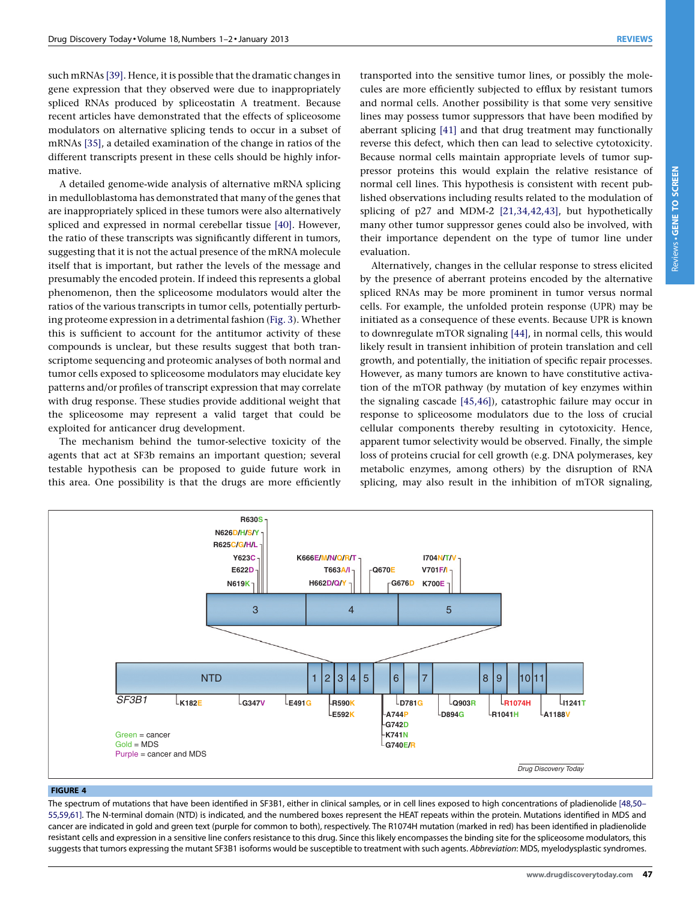<span id="page-4-0"></span>such mRNAs [\[39\].](#page-6-0) Hence, it is possible that the dramatic changes in gene expression that they observed were due to inappropriately spliced RNAs produced by spliceostatin A treatment. Because recent articles have demonstrated that the effects of spliceosome modulators on alternative splicing tends to occur in a subset of mRNAs [\[35\]](#page-6-0), a detailed examination of the change in ratios of the different transcripts present in these cells should be highly informative.

A detailed genome-wide analysis of alternative mRNA splicing in medulloblastoma has demonstrated that many of the genes that are inappropriately spliced in these tumors were also alternatively spliced and expressed in normal cerebellar tissue [\[40\]](#page-6-0). However, the ratio of these transcripts was significantly different in tumors, suggesting that it is not the actual presence of the mRNA molecule itself that is important, but rather the levels of the message and presumably the encoded protein. If indeed this represents a global phenomenon, then the spliceosome modulators would alter the ratios of the various transcripts in tumor cells, potentially perturbing proteome expression in a detrimental fashion ([Fig.](#page-3-0) 3). Whether this is sufficient to account for the antitumor activity of these compounds is unclear, but these results suggest that both transcriptome sequencing and proteomic analyses of both normal and tumor cells exposed to spliceosome modulators may elucidate key patterns and/or profiles of transcript expression that may correlate with drug response. These studies provide additional weight that the spliceosome may represent a valid target that could be exploited for anticancer drug development.

The mechanism behind the tumor-selective toxicity of the agents that act at SF3b remains an important question; several testable hypothesis can be proposed to guide future work in this area. One possibility is that the drugs are more efficiently

transported into the sensitive tumor lines, or possibly the molecules are more efficiently subjected to efflux by resistant tumors and normal cells. Another possibility is that some very sensitive lines may possess tumor suppressors that have been modified by aberrant splicing [\[41\]](#page-6-0) and that drug treatment may functionally reverse this defect, which then can lead to selective cytotoxicity. Because normal cells maintain appropriate levels of tumor suppressor proteins this would explain the relative resistance of normal cell lines. This hypothesis is consistent with recent published observations including results related to the modulation of splicing of p27 and MDM-2 [\[21,34,42,43\]](#page-6-0), but hypothetically many other tumor suppressor genes could also be involved, with their importance dependent on the type of tumor line under evaluation.

Alternatively, changes in the cellular response to stress elicited by the presence of aberrant proteins encoded by the alternative spliced RNAs may be more prominent in tumor versus normal cells. For example, the unfolded protein response (UPR) may be initiated as a consequence of these events. Because UPR is known to downregulate mTOR signaling [\[44\],](#page-6-0) in normal cells, this would likely result in transient inhibition of protein translation and cell growth, and potentially, the initiation of specific repair processes. However, as many tumors are known to have constitutive activation of the mTOR pathway (by mutation of key enzymes within the signaling cascade [\[45,46\]](#page-6-0)), catastrophic failure may occur in response to spliceosome modulators due to the loss of crucial cellular components thereby resulting in cytotoxicity. Hence, apparent tumor selectivity would be observed. Finally, the simple loss of proteins crucial for cell growth (e.g. DNA polymerases, key metabolic enzymes, among others) by the disruption of RNA splicing, may also result in the inhibition of mTOR signaling,



#### FIGURE 4

The spectrum of mutations that have been identified in SF3B1, either in clinical samples, or in cell lines exposed to high concentrations of pladienolide [\[48,50–](#page-6-0) [55,59,61\]](#page-6-0). The N-terminal domain (NTD) is indicated, and the numbered boxes represent the HEAT repeats within the protein. Mutations identified in MDS and cancer are indicated in gold and green text (purple for common to both), respectively. The R1074H mutation (marked in red) has been identified in pladienolide resistant cells and expression in a sensitive line confers resistance to this drug. Since this likely encompasses the binding site for the spliceosome modulators, this suggests that tumors expressing the mutant SF3B1 isoforms would be susceptible to treatment with such agents. Abbreviation: MDS, myelodysplastic syndromes.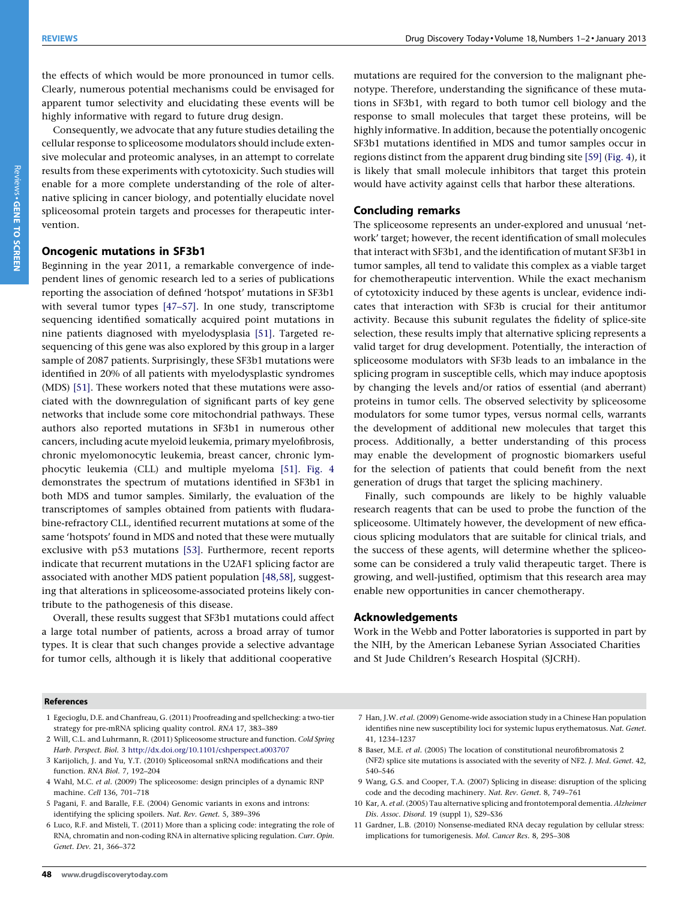<span id="page-5-0"></span>the effects of which would be more pronounced in tumor cells. Clearly, numerous potential mechanisms could be envisaged for apparent tumor selectivity and elucidating these events will be highly informative with regard to future drug design.

Consequently, we advocate that any future studies detailing the cellular response to spliceosome modulators should include extensive molecular and proteomic analyses, in an attempt to correlate results from these experiments with cytotoxicity. Such studies will enable for a more complete understanding of the role of alternative splicing in cancer biology, and potentially elucidate novel spliceosomal protein targets and processes for therapeutic intervention.

#### Oncogenic mutations in SF3b1

Beginning in the year 2011, a remarkable convergence of independent lines of genomic research led to a series of publications reporting the association of defined 'hotspot' mutations in SF3b1 with several tumor types [\[47–57\].](#page-6-0) In one study, transcriptome sequencing identified somatically acquired point mutations in nine patients diagnosed with myelodysplasia [\[51\].](#page-6-0) Targeted resequencing of this gene was also explored by this group in a larger sample of 2087 patients. Surprisingly, these SF3b1 mutations were identified in 20% of all patients with myelodysplastic syndromes (MDS) [\[51\].](#page-6-0) These workers noted that these mutations were associated with the downregulation of significant parts of key gene networks that include some core mitochondrial pathways. These authors also reported mutations in SF3b1 in numerous other cancers, including acute myeloid leukemia, primary myelofibrosis, chronic myelomonocytic leukemia, breast cancer, chronic lymphocytic leukemia (CLL) and multiple myeloma [\[51\].](#page-6-0) [Fig.](#page-4-0) 4 demonstrates the spectrum of mutations identified in SF3b1 in both MDS and tumor samples. Similarly, the evaluation of the transcriptomes of samples obtained from patients with fludarabine-refractory CLL, identified recurrent mutations at some of the same 'hotspots' found in MDS and noted that these were mutually exclusive with p53 mutations [\[53\].](#page-6-0) Furthermore, recent reports indicate that recurrent mutations in the U2AF1 splicing factor are associated with another MDS patient population [\[48,58\],](#page-6-0) suggesting that alterations in spliceosome-associated proteins likely contribute to the pathogenesis of this disease.

Overall, these results suggest that SF3b1 mutations could affect a large total number of patients, across a broad array of tumor types. It is clear that such changes provide a selective advantage for tumor cells, although it is likely that additional cooperative

mutations are required for the conversion to the malignant phenotype. Therefore, understanding the significance of these mutations in SF3b1, with regard to both tumor cell biology and the response to small molecules that target these proteins, will be highly informative. In addition, because the potentially oncogenic SF3b1 mutations identified in MDS and tumor samples occur in regions distinct from the apparent drug binding site [\[59\]](#page-6-0) ([Fig.](#page-4-0) 4), it is likely that small molecule inhibitors that target this protein would have activity against cells that harbor these alterations.

#### Concluding remarks

The spliceosome represents an under-explored and unusual 'network' target; however, the recent identification of small molecules that interact with SF3b1, and the identification of mutant SF3b1 in tumor samples, all tend to validate this complex as a viable target for chemotherapeutic intervention. While the exact mechanism of cytotoxicity induced by these agents is unclear, evidence indicates that interaction with SF3b is crucial for their antitumor activity. Because this subunit regulates the fidelity of splice-site selection, these results imply that alternative splicing represents a valid target for drug development. Potentially, the interaction of spliceosome modulators with SF3b leads to an imbalance in the splicing program in susceptible cells, which may induce apoptosis by changing the levels and/or ratios of essential (and aberrant) proteins in tumor cells. The observed selectivity by spliceosome modulators for some tumor types, versus normal cells, warrants the development of additional new molecules that target this process. Additionally, a better understanding of this process may enable the development of prognostic biomarkers useful for the selection of patients that could benefit from the next generation of drugs that target the splicing machinery.

Finally, such compounds are likely to be highly valuable research reagents that can be used to probe the function of the spliceosome. Ultimately however, the development of new efficacious splicing modulators that are suitable for clinical trials, and the success of these agents, will determine whether the spliceosome can be considered a truly valid therapeutic target. There is growing, and well-justified, optimism that this research area may enable new opportunities in cancer chemotherapy.

#### Acknowledgements

Work in the Webb and Potter laboratories is supported in part by the NIH, by the American Lebanese Syrian Associated Charities and St Jude Children's Research Hospital (SJCRH).

#### References

- 1 Egecioglu, D.E. and Chanfreau, G. (2011) Proofreading and spellchecking: a two-tier strategy for pre-mRNA splicing quality control. RNA 17, 383–389
- 2 Will, C.L. and Luhrmann, R. (2011) Spliceosome structure and function. Cold Spring Harb. Perspect. Biol. 3 <http://dx.doi.org/10.1101/cshperspect.a003707>
- 3 Karijolich, J. and Yu, Y.T. (2010) Spliceosomal snRNA modifications and their function. RNA Biol. 7, 192–204
- 4 Wahl, M.C. et al. (2009) The spliceosome: design principles of a dynamic RNP machine. Cell 136, 701–718
- 5 Pagani, F. and Baralle, F.E. (2004) Genomic variants in exons and introns: identifying the splicing spoilers. Nat. Rev. Genet. 5, 389–396
- 6 Luco, R.F. and Misteli, T. (2011) More than a splicing code: integrating the role of RNA, chromatin and non-coding RNA in alternative splicing regulation. Curr. Opin. Genet. Dev. 21, 366–372
- 7 Han, J.W. et al. (2009) Genome-wide association study in a Chinese Han population identifies nine new susceptibility loci for systemic lupus erythematosus. Nat. Genet. 41, 1234–1237
- 8 Baser, M.E. et al. (2005) The location of constitutional neurofibromatosis 2 (NF2) splice site mutations is associated with the severity of NF2. J. Med. Genet. 42, 540–546
- 9 Wang, G.S. and Cooper, T.A. (2007) Splicing in disease: disruption of the splicing code and the decoding machinery. Nat. Rev. Genet. 8, 749–761
- 10 Kar, A. et al. (2005) Tau alternative splicing and frontotemporal dementia. Alzheimer Dis. Assoc. Disord. 19 (suppl 1), S29–S36
- 11 Gardner, L.B. (2010) Nonsense-mediated RNA decay regulation by cellular stress: implications for tumorigenesis. Mol. Cancer Res. 8, 295–308